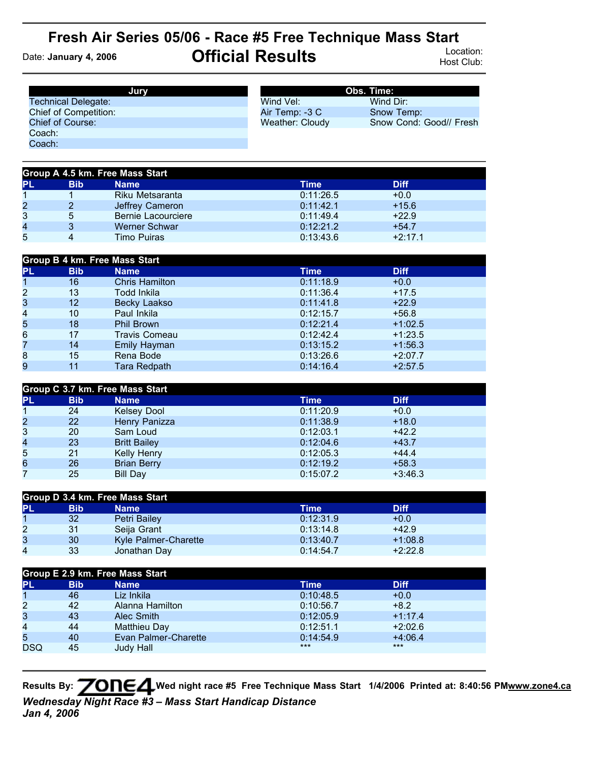## **Fresh Air Series 05/06 - Race #5 Free Technique Mass Start** Date: **January 4, 2006 Official Results** Location: Host Club:

| Jurv                         |                 | Obs. Time:              |
|------------------------------|-----------------|-------------------------|
| <b>Technical Delegate:</b>   | Wind Vel:       | Wind Dir:               |
| <b>Chief of Competition:</b> | Air Temp: -3 C  | Snow Temp:              |
| Chief of Course:             | Weather: Cloudy | Snow Cond: Good// Fresh |
| Coach:                       |                 |                         |
| Coach:                       |                 |                         |

| Group A 4.5 km. Free Mass Start |            |                    |           |             |  |
|---------------------------------|------------|--------------------|-----------|-------------|--|
| PL                              | <b>Bib</b> | <b>Name</b>        | Time      | <b>Diff</b> |  |
|                                 |            | Riku Metsaranta    | 0:11:26.5 | $+0.0$      |  |
| 2                               |            | Jeffrey Cameron    | 0:11:42.1 | $+15.6$     |  |
| 3                               | 5          | Bernie Lacourciere | 0:11:49.4 | $+22.9$     |  |
| 4                               |            | Werner Schwar      | 0:12:21.2 | $+54.7$     |  |
| 5                               |            | Timo Puiras        | 0:13:43.6 | $+2:17.1$   |  |

| Group B 4 km. Free Mass Start |            |                       |           |             |  |
|-------------------------------|------------|-----------------------|-----------|-------------|--|
| <b>PL</b>                     | <b>Bib</b> | <b>Name</b>           | Time      | <b>Diff</b> |  |
| 1                             | 16         | <b>Chris Hamilton</b> | 0:11:18.9 | $+0.0$      |  |
| $\overline{2}$                | 13         | Todd Inkila           | 0:11:36.4 | $+17.5$     |  |
| 3                             | 12         | <b>Becky Laakso</b>   | 0:11:41.8 | $+22.9$     |  |
| 4                             | 10         | Paul Inkila           | 0:12:15.7 | $+56.8$     |  |
| 5                             | 18         | <b>Phil Brown</b>     | 0:12:21.4 | $+1:02.5$   |  |
| 6                             | 17         | <b>Travis Comeau</b>  | 0:12:42.4 | $+1:23.5$   |  |
| 7                             | 14         | Emily Hayman          | 0:13:15.2 | $+1:56.3$   |  |
| 8                             | 15         | Rena Bode             | 0:13:26.6 | $+2:07.7$   |  |
| 9                             | 11         | Tara Redpath          | 0:14:16.4 | $+2:57.5$   |  |

| Group C 3.7 km. Free Mass Start |            |                     |           |             |  |
|---------------------------------|------------|---------------------|-----------|-------------|--|
| <b>PL</b>                       | <b>Bib</b> | <b>Name</b>         | Time      | <b>Diff</b> |  |
|                                 | 24         | <b>Kelsey Dool</b>  | 0:11:20.9 | $+0.0$      |  |
| $\overline{2}$                  | 22         | Henry Panizza       | 0:11:38.9 | $+18.0$     |  |
| 3                               | 20         | Sam Loud            | 0:12:03.1 | $+42.2$     |  |
| 4                               | 23         | <b>Britt Bailey</b> | 0:12:04.6 | $+43.7$     |  |
| 5                               | 21         | Kelly Henry         | 0:12:05.3 | $+44.4$     |  |
| 6                               | 26         | <b>Brian Berry</b>  | 0:12:19.2 | $+58.3$     |  |
| 7                               | 25         | Bill Day            | 0:15:07.2 | $+3:46.3$   |  |

| Group D 3.4 km. Free Mass Start |            |                      |           |             |  |
|---------------------------------|------------|----------------------|-----------|-------------|--|
| PL                              | <b>Bib</b> | Name                 | Time      | <b>Diff</b> |  |
|                                 | 32         | Petri Bailey         | 0:12:31.9 | $+0.0$      |  |
| 2                               | 31         | Seija Grant          | 0:13:14.8 | $+42.9$     |  |
| 3                               | 30         | Kyle Palmer-Charette | 0:13:40.7 | $+1:08.8$   |  |
| 4                               | 33         | Jonathan Day         | 0:14:54.7 | $+2:22.8$   |  |

| Group E 2.9 km. Free Mass Start |            |                      |           |             |  |
|---------------------------------|------------|----------------------|-----------|-------------|--|
| PL                              | <b>Bib</b> | <b>Name</b>          | Time      | <b>Diff</b> |  |
|                                 | 46         | Liz Inkila           | 0:10:48.5 | $+0.0$      |  |
| $\overline{2}$                  | 42         | Alanna Hamilton      | 0:10:56.7 | $+8.2$      |  |
| 3                               | 43         | Alec Smith           | 0:12:05.9 | $+1:17.4$   |  |
| $\overline{4}$                  | 44         | Matthieu Day         | 0:12:51.1 | $+2:02.6$   |  |
| 5                               | 40         | Evan Palmer-Charette | 0:14:54.9 | $+4:06.4$   |  |
| <b>DSQ</b>                      | 45         | Judy Hall            | $***$     | $***$       |  |
|                                 |            |                      |           |             |  |

**Results By: Wed night race #5 Free Technique Mass Start 1/4/2006 Printed at: 8:40:56 P[Mwww.zone4.ca](http://www.zone4.ca/)** *Wednesday Night Race #3 – Mass Start Handicap Distance Jan 4, 2006*